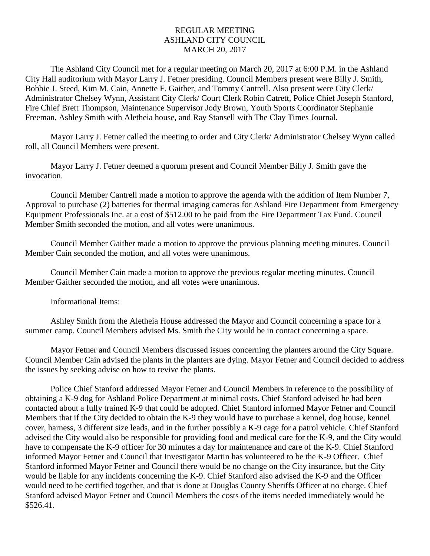## REGULAR MEETING ASHLAND CITY COUNCIL MARCH 20, 2017

The Ashland City Council met for a regular meeting on March 20, 2017 at 6:00 P.M. in the Ashland City Hall auditorium with Mayor Larry J. Fetner presiding. Council Members present were Billy J. Smith, Bobbie J. Steed, Kim M. Cain, Annette F. Gaither, and Tommy Cantrell. Also present were City Clerk/ Administrator Chelsey Wynn, Assistant City Clerk/ Court Clerk Robin Catrett, Police Chief Joseph Stanford, Fire Chief Brett Thompson, Maintenance Supervisor Jody Brown, Youth Sports Coordinator Stephanie Freeman, Ashley Smith with Aletheia house, and Ray Stansell with The Clay Times Journal.

Mayor Larry J. Fetner called the meeting to order and City Clerk/ Administrator Chelsey Wynn called roll, all Council Members were present.

Mayor Larry J. Fetner deemed a quorum present and Council Member Billy J. Smith gave the invocation.

Council Member Cantrell made a motion to approve the agenda with the addition of Item Number 7, Approval to purchase (2) batteries for thermal imaging cameras for Ashland Fire Department from Emergency Equipment Professionals Inc. at a cost of \$512.00 to be paid from the Fire Department Tax Fund. Council Member Smith seconded the motion, and all votes were unanimous.

Council Member Gaither made a motion to approve the previous planning meeting minutes. Council Member Cain seconded the motion, and all votes were unanimous.

Council Member Cain made a motion to approve the previous regular meeting minutes. Council Member Gaither seconded the motion, and all votes were unanimous.

Informational Items:

Ashley Smith from the Aletheia House addressed the Mayor and Council concerning a space for a summer camp. Council Members advised Ms. Smith the City would be in contact concerning a space.

Mayor Fetner and Council Members discussed issues concerning the planters around the City Square. Council Member Cain advised the plants in the planters are dying. Mayor Fetner and Council decided to address the issues by seeking advise on how to revive the plants.

Police Chief Stanford addressed Mayor Fetner and Council Members in reference to the possibility of obtaining a K-9 dog for Ashland Police Department at minimal costs. Chief Stanford advised he had been contacted about a fully trained K-9 that could be adopted. Chief Stanford informed Mayor Fetner and Council Members that if the City decided to obtain the K-9 they would have to purchase a kennel, dog house, kennel cover, harness, 3 different size leads, and in the further possibly a K-9 cage for a patrol vehicle. Chief Stanford advised the City would also be responsible for providing food and medical care for the K-9, and the City would have to compensate the K-9 officer for 30 minutes a day for maintenance and care of the K-9. Chief Stanford informed Mayor Fetner and Council that Investigator Martin has volunteered to be the K-9 Officer. Chief Stanford informed Mayor Fetner and Council there would be no change on the City insurance, but the City would be liable for any incidents concerning the K-9. Chief Stanford also advised the K-9 and the Officer would need to be certified together, and that is done at Douglas County Sheriffs Officer at no charge. Chief Stanford advised Mayor Fetner and Council Members the costs of the items needed immediately would be \$526.41.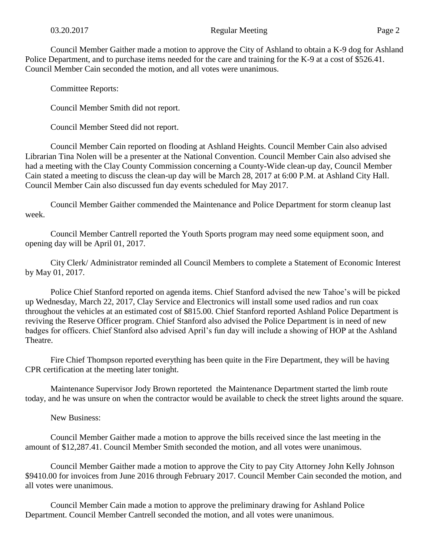Council Member Gaither made a motion to approve the City of Ashland to obtain a K-9 dog for Ashland Police Department, and to purchase items needed for the care and training for the K-9 at a cost of \$526.41. Council Member Cain seconded the motion, and all votes were unanimous.

Committee Reports:

Council Member Smith did not report.

Council Member Steed did not report.

Council Member Cain reported on flooding at Ashland Heights. Council Member Cain also advised Librarian Tina Nolen will be a presenter at the National Convention. Council Member Cain also advised she had a meeting with the Clay County Commission concerning a County-Wide clean-up day, Council Member Cain stated a meeting to discuss the clean-up day will be March 28, 2017 at 6:00 P.M. at Ashland City Hall. Council Member Cain also discussed fun day events scheduled for May 2017.

Council Member Gaither commended the Maintenance and Police Department for storm cleanup last week.

Council Member Cantrell reported the Youth Sports program may need some equipment soon, and opening day will be April 01, 2017.

City Clerk/ Administrator reminded all Council Members to complete a Statement of Economic Interest by May 01, 2017.

Police Chief Stanford reported on agenda items. Chief Stanford advised the new Tahoe's will be picked up Wednesday, March 22, 2017, Clay Service and Electronics will install some used radios and run coax throughout the vehicles at an estimated cost of \$815.00. Chief Stanford reported Ashland Police Department is reviving the Reserve Officer program. Chief Stanford also advised the Police Department is in need of new badges for officers. Chief Stanford also advised April's fun day will include a showing of HOP at the Ashland Theatre.

Fire Chief Thompson reported everything has been quite in the Fire Department, they will be having CPR certification at the meeting later tonight.

Maintenance Supervisor Jody Brown reporteted the Maintenance Department started the limb route today, and he was unsure on when the contractor would be available to check the street lights around the square.

New Business:

Council Member Gaither made a motion to approve the bills received since the last meeting in the amount of \$12,287.41. Council Member Smith seconded the motion, and all votes were unanimous.

Council Member Gaither made a motion to approve the City to pay City Attorney John Kelly Johnson \$9410.00 for invoices from June 2016 through February 2017. Council Member Cain seconded the motion, and all votes were unanimous.

Council Member Cain made a motion to approve the preliminary drawing for Ashland Police Department. Council Member Cantrell seconded the motion, and all votes were unanimous.